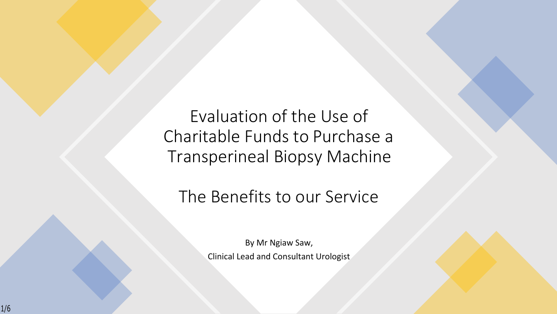Evaluation of the Use of Charitable Funds to Purchase a Transperineal Biopsy Machine

## The Benefits to our Service

By Mr Ngiaw Saw, Clinical Lead and Consultant Urologist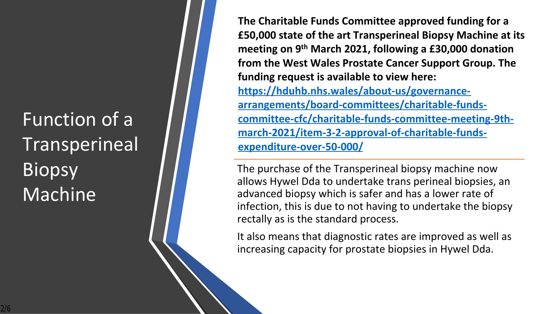

 $8$ 



 $#$ 

 $\%$ 

 $\boldsymbol{\theta}$ 

 $#$ 

 $\#$ 

 $\mathbf{H}$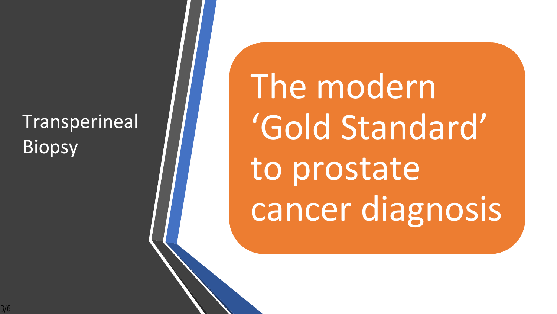## Transperineal Biopsy

The modern 'Gold Standard' to prostate cancer diagnosis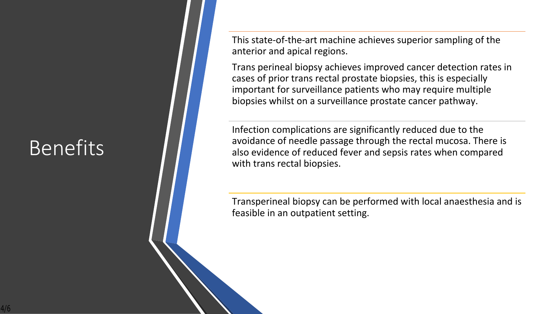## Benefits

This state-of-the-art machine achieves superior sampling of the anterior and apical regions.

Trans perineal biopsy achieves improved cancer detection rates in cases of prior trans rectal prostate biopsies, this is especially important for surveillance patients who may require multiple biopsies whilst on a surveillance prostate cancer pathway.

Infection complications are significantly reduced due to the avoidance of needle passage through the rectal mucosa. There is also evidence of reduced fever and sepsis rates when compared with trans rectal biopsies.

Transperineal biopsy can be performed with local anaesthesia and is feasible in an outpatient setting.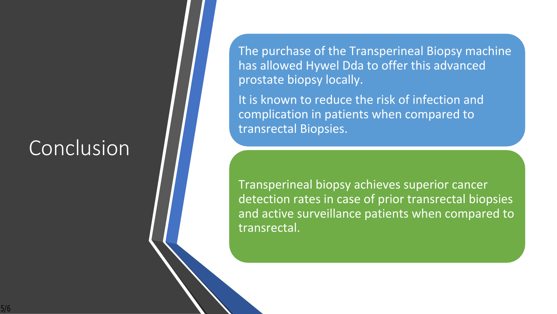## **Conclusion**

The purchase of the Transperineal Biopsy machine has allowed Hywel Dda to offer this advanced prostate biopsy locally.

It is known to reduce the risk of infection and complication in patients when compared to transrectal Biopsies.

Transperineal biopsy achieves superior cancer detection rates in case of prior transrectal biopsies and active surveillance patients when compared to transrectal.